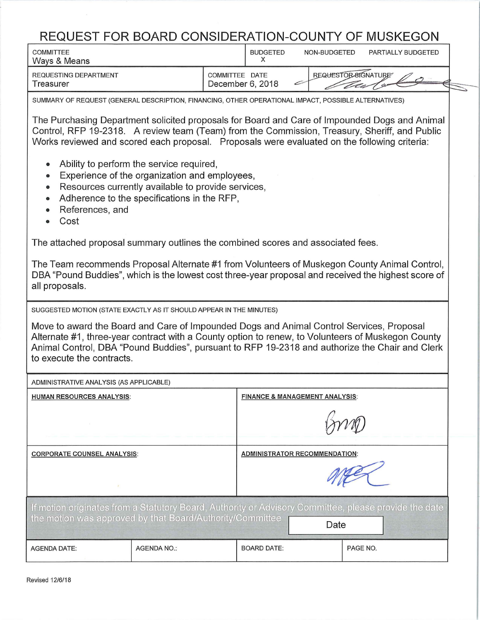## **REQUEST FOR BOARD CONSIDERATION-COUNTY OF MUSKEGON**

| <u>REQUEST FOR BOARD CONSIDERATION-COUNTY OF MUSKEGON</u><br><b>COMMITTEE</b><br>Ways & Means                                                                                                                                                                                                                                | <b>BUDGETED</b><br>NON-BUDGETED<br>PARTIALLY BUDGETED<br>X                                           |  |  |  |  |  |  |  |  |  |  |  |
|------------------------------------------------------------------------------------------------------------------------------------------------------------------------------------------------------------------------------------------------------------------------------------------------------------------------------|------------------------------------------------------------------------------------------------------|--|--|--|--|--|--|--|--|--|--|--|
| REQUESTING DEPARTMENT<br>Treasurer                                                                                                                                                                                                                                                                                           | REQUESTOR 81GNATURE<br>COMMITTEE DATE<br>December 6, 2018                                            |  |  |  |  |  |  |  |  |  |  |  |
|                                                                                                                                                                                                                                                                                                                              | SUMMARY OF REQUEST (GENERAL DESCRIPTION, FINANCING, OTHER OPERATIONAL IMPACT, POSSIBLE ALTERNATIVES) |  |  |  |  |  |  |  |  |  |  |  |
| The Purchasing Department solicited proposals for Board and Care of Impounded Dogs and Animal<br>Control, RFP 19-2318. A review team (Team) from the Commission, Treasury, Sheriff, and Public<br>Works reviewed and scored each proposal. Proposals were evaluated on the following criteria:                               |                                                                                                      |  |  |  |  |  |  |  |  |  |  |  |
| Ability to perform the service required,<br>$\bullet$<br>Experience of the organization and employees,<br>$\qquad \qquad \bullet$<br>Resources currently available to provide services,<br>$\bullet$<br>Adherence to the specifications in the RFP,<br>$\bullet$<br>References, and<br>Cost<br>$\bullet$                     |                                                                                                      |  |  |  |  |  |  |  |  |  |  |  |
|                                                                                                                                                                                                                                                                                                                              | The attached proposal summary outlines the combined scores and associated fees.                      |  |  |  |  |  |  |  |  |  |  |  |
| The Team recommends Proposal Alternate #1 from Volunteers of Muskegon County Animal Control,<br>DBA "Pound Buddies", which is the lowest cost three-year proposal and received the highest score of<br>all proposals.                                                                                                        |                                                                                                      |  |  |  |  |  |  |  |  |  |  |  |
| SUGGESTED MOTION (STATE EXACTLY AS IT SHOULD APPEAR IN THE MINUTES)                                                                                                                                                                                                                                                          |                                                                                                      |  |  |  |  |  |  |  |  |  |  |  |
| Move to award the Board and Care of Impounded Dogs and Animal Control Services, Proposal<br>Alternate #1, three-year contract with a County option to renew, to Volunteers of Muskegon County<br>Animal Control, DBA "Pound Buddies", pursuant to RFP 19-2318 and authorize the Chair and Clerk<br>to execute the contracts. |                                                                                                      |  |  |  |  |  |  |  |  |  |  |  |
| ADMINISTRATIVE ANALYSIS (AS APPLICABLE)                                                                                                                                                                                                                                                                                      |                                                                                                      |  |  |  |  |  |  |  |  |  |  |  |
| <b>HUMAN RESOURCES ANALYSIS:</b>                                                                                                                                                                                                                                                                                             | <b>FINANCE &amp; MANAGEMENT ANALYSIS:</b>                                                            |  |  |  |  |  |  |  |  |  |  |  |
|                                                                                                                                                                                                                                                                                                                              |                                                                                                      |  |  |  |  |  |  |  |  |  |  |  |
| <b>CORPORATE COUNSEL ANALYSIS:</b>                                                                                                                                                                                                                                                                                           | <b>ADMINISTRATOR RECOMMENDATION:</b>                                                                 |  |  |  |  |  |  |  |  |  |  |  |
|                                                                                                                                                                                                                                                                                                                              |                                                                                                      |  |  |  |  |  |  |  |  |  |  |  |
| If motion originates from a Statutory Board, Authority or Advisory Committee, please provide the date<br>the motion was approved by that Board/Authority/Committee<br>Date                                                                                                                                                   |                                                                                                      |  |  |  |  |  |  |  |  |  |  |  |
|                                                                                                                                                                                                                                                                                                                              |                                                                                                      |  |  |  |  |  |  |  |  |  |  |  |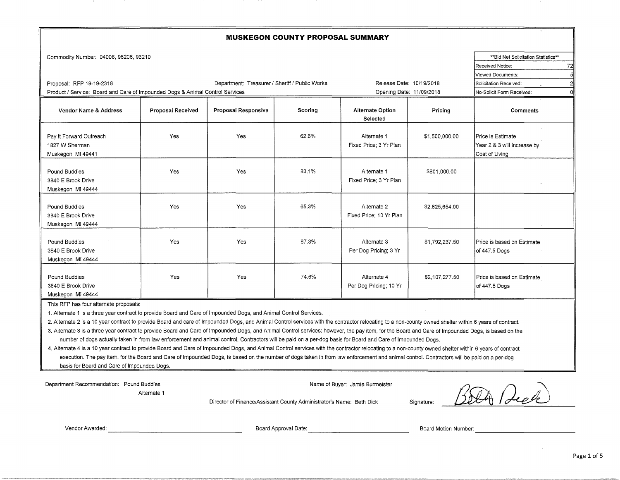| <b>MUSKEGON COUNTY PROPOSAL SUMMARY</b>                                                                   |                                                                                |                     |         |                                        |                |                                                                    |  |  |  |  |  |
|-----------------------------------------------------------------------------------------------------------|--------------------------------------------------------------------------------|---------------------|---------|----------------------------------------|----------------|--------------------------------------------------------------------|--|--|--|--|--|
| Commodity Number: 04008, 96206, 96210                                                                     |                                                                                |                     |         |                                        |                | ** Bid Net Solicitation Statistics**<br>72<br>Received Notice:     |  |  |  |  |  |
| Proposal: RFP 19-19-2318<br>Product / Service: Board and Care of Impounded Dogs & Animal Control Services | Viewed Documents:<br>Solicitation Received:<br>No-Solicit Form Received:<br>οl |                     |         |                                        |                |                                                                    |  |  |  |  |  |
| Vendor Name & Address                                                                                     | <b>Proposal Received</b>                                                       | Proposal Responsive | Scoring | <b>Alternate Option</b><br>Selected    | Pricing        | Comments                                                           |  |  |  |  |  |
| Pay It Forward Outreach<br>1827 W Sherman<br>Muskegon MI 49441                                            | Yes                                                                            | Yes                 | 62.6%   | Alternate 1<br>Fixed Price; 3 Yr Plan  | \$1,500,000.00 | Price is Estimate<br>Year 2 & 3 will Increase by<br>Cost of Living |  |  |  |  |  |
| Pound Buddies<br>3840 E Brook Drive<br>Muskegon MI 49444                                                  | Yes                                                                            | Yes                 | 83.1%   | Alternate 1<br>Fixed Price: 3 Yr Plan  | \$801,000.00   |                                                                    |  |  |  |  |  |
| Pound Buddies<br>3840 E Brook Drive<br>Muskegon MI 49444                                                  | Yes                                                                            | Yes                 | 65.3%   | Alternate 2<br>Fixed Price: 10 Yr Plan | \$2,825,654.00 |                                                                    |  |  |  |  |  |
| Pound Buddies<br>3840 E Brook Drive<br>Muskegon MI 49444                                                  | Yes                                                                            | Yes                 | 67.3%   | Alternate 3<br>Per Dog Pricing; 3 Yr   | \$1,792,237.50 | Price is based on Estimate<br>of 447.5 Dogs                        |  |  |  |  |  |
| Pound Buddies<br>3840 E Brook Drive<br>Muskegon MI 49444                                                  | Yes                                                                            | Yes                 | 74.6%   | Alternate 4<br>Per Dog Pricing; 10 Yr  | \$2,107,277.50 | Price is based on Estimate<br>of 447.5 Dogs                        |  |  |  |  |  |

This RFP has four alternate proposals:

1. Alternate 1 is a three year contract to provide Board and Care of Impounded Dogs, and Animal Control Services.

~~~~---------------~

2. Alternate 2 is a 10 year contract to provide Board and care of Impounded Dogs, and Animal Control services with the contractor relocating to a non-county owned shelter within 6 years of contract.

3. Alternate 3 is a three year contract to provide Board and Care of Impounded Dogs, and Animal Control services; however, the pay item, for the Board and Care of Impounded Dogs, is based on the number of dogs actually taken in from law enforcement and animal control. Contractors will be paid on a per-dog basis for Board and Care of Impounded Dogs.

4. Alternate 4 is a 10 year contract to provide Board and Care of Impounded Dogs, and Animal Control services with the contractor relocating to a non-county owned shelter within 6 years of contract execution. The pay item, for the Board and Care of Impounded Dogs, is based on the number of dogs taken in from law enforcement and animal control. Contractors will be paid on a per-dog basis for Board and Care of Impounded Dogs.

Department Recommendation: Pound Buddies

Alternate 1

Name of Buyer: Jamie Burmeister

Name of Buyer: Jamie Burmeister<br>Director of Finance/Assistant County Administrator's Name: Beth Dick Signature: *BBCA Reel* 

Vendor Awarded:

Board Motion Number: Board Approval Date:-------------- ~-------------~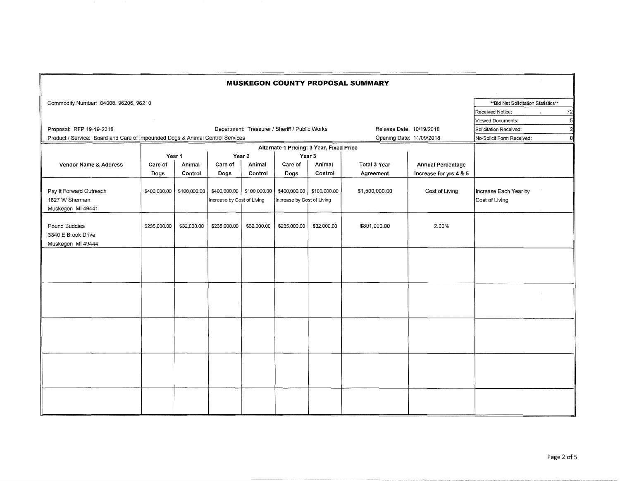|                                                                               | <b>MUSKEGON COUNTY PROPOSAL SUMMARY</b> |              |                                 |                           |                                                |                                                    |                |                          |                                          |  |  |  |
|-------------------------------------------------------------------------------|-----------------------------------------|--------------|---------------------------------|---------------------------|------------------------------------------------|----------------------------------------------------|----------------|--------------------------|------------------------------------------|--|--|--|
| Commodity Number: 04008, 96206, 96210                                         |                                         |              |                                 |                           |                                                |                                                    |                |                          | ** Bid Net Solicitation Statistics**     |  |  |  |
|                                                                               |                                         |              |                                 |                           |                                                |                                                    |                |                          | 72<br>Received Notice:                   |  |  |  |
|                                                                               |                                         |              |                                 |                           |                                                |                                                    |                |                          | 5<br>Viewed Documents:                   |  |  |  |
| Proposal: RFP 19-19-2318                                                      |                                         |              |                                 |                           | Department: Treasurer / Sheriff / Public Works |                                                    |                | Release Date: 10/19/2018 | Solicitation Received:<br>$\overline{2}$ |  |  |  |
| Product / Service: Board and Care of Impounded Dogs & Animal Control Services |                                         |              | οl<br>No-Solicit Form Received: |                           |                                                |                                                    |                |                          |                                          |  |  |  |
|                                                                               |                                         |              |                                 |                           |                                                |                                                    |                |                          |                                          |  |  |  |
|                                                                               |                                         | Year 1       |                                 | Year 2                    |                                                | Alternate 1 Pricing: 3 Year, Fixed Price<br>Year 3 |                |                          |                                          |  |  |  |
| Vendor Name & Address                                                         | Care of                                 | Animal       | Care of                         | Animal                    | Care of                                        | Animal                                             | Total 3-Year   | <b>Annual Percentage</b> |                                          |  |  |  |
|                                                                               | Dogs                                    | Control      | Dogs                            | Control                   | Dogs                                           | Control                                            | Agreement      | Increase for yrs 4 & 5   |                                          |  |  |  |
| Pay It Forward Outreach<br>1827 W Sherman<br>Muskegon MI 49441                | \$400,000.00                            | \$100,000.00 | Increase by Cost of Living      | \$400,000.00 \$100,000.00 | Increase by Cost of Living                     | \$400,000.00 \$100,000.00                          | \$1,500,000.00 | Cost of Living           | Increase Each Year by<br>Cost of Living  |  |  |  |
| Pound Buddies<br>3840 E Brook Drive<br>Muskegon MI 49444                      | \$235,000.00                            | \$32,000.00  | \$235,000.00                    | \$32,000.00               | \$235,000.00                                   | \$32,000.00                                        | \$801,000.00   | 2.00%                    |                                          |  |  |  |
|                                                                               |                                         |              |                                 |                           |                                                |                                                    |                |                          |                                          |  |  |  |
|                                                                               |                                         |              |                                 |                           |                                                |                                                    |                |                          |                                          |  |  |  |
|                                                                               |                                         |              |                                 |                           |                                                |                                                    |                |                          |                                          |  |  |  |
|                                                                               |                                         |              |                                 |                           |                                                |                                                    |                |                          |                                          |  |  |  |
|                                                                               |                                         |              |                                 |                           |                                                |                                                    |                |                          |                                          |  |  |  |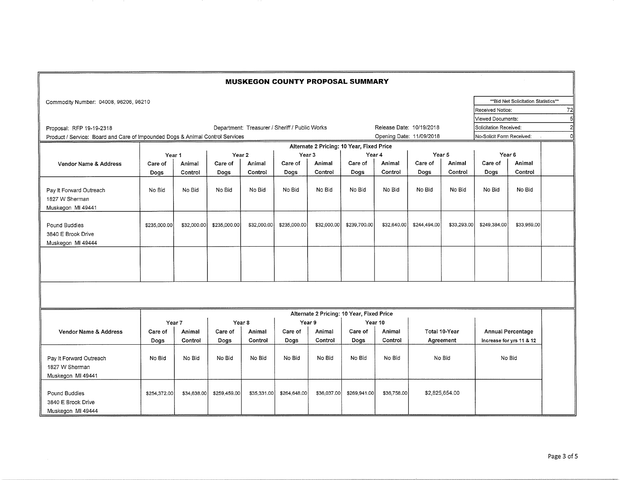|                                                                               |              |             |                                                |             | <b>MUSKEGON COUNTY PROPOSAL SUMMARY</b> |             |                                           |                          |               |                |                           |                                     |    |
|-------------------------------------------------------------------------------|--------------|-------------|------------------------------------------------|-------------|-----------------------------------------|-------------|-------------------------------------------|--------------------------|---------------|----------------|---------------------------|-------------------------------------|----|
| Commodity Number: 04008, 96206, 96210                                         |              |             |                                                |             |                                         |             |                                           |                          |               |                |                           | **Bid Net Solicitation Statistics** |    |
|                                                                               |              |             |                                                |             |                                         |             | Received Notice:                          |                          |               |                |                           |                                     | 72 |
|                                                                               |              |             |                                                |             |                                         |             |                                           | Viewed Documents:        |               | 5              |                           |                                     |    |
| Proposal: RFP 19-19-2318                                                      |              |             | Department: Treasurer / Sheriff / Public Works |             | Release Date: 10/19/2018                |             |                                           | Solicitation Received:   | $\mathcal{P}$ |                |                           |                                     |    |
| Product / Service: Board and Care of Impounded Dogs & Animal Control Services |              |             |                                                |             |                                         |             |                                           | Opening Date: 11/09/2018 |               |                | No-Solicit Form Received: | $\Omega$                            |    |
| Alternate 2 Pricing: 10 Year, Fixed Price                                     |              |             |                                                |             |                                         |             |                                           |                          |               |                |                           |                                     |    |
|                                                                               | Year 1       |             | Year 2                                         |             | Year 3                                  |             | Year 4                                    |                          | Year 5        |                | Year <sub>6</sub>         |                                     |    |
| Vendor Name & Address                                                         | Care of      | Animal      | Care of                                        | Animal      | Care of                                 | Animal      | Care of                                   | Animal                   | Care of       | Animal         | Care of                   | Animal                              |    |
|                                                                               | Dogs         | Control     | Dogs                                           | Control     | Dogs                                    | Control     | Dogs                                      | Control                  | Dogs          | Control        | Dogs                      | Control                             |    |
| Pay It Forward Outreach<br>1827 W Sherman<br>Muskegon MI 49441                | No Bid       | No Bid      | No Bid                                         | No Bid      | No Bid                                  | No Bid      | No Bid                                    | No Bid                   | No Bid        | No Bid         | No Bid                    | No Bid                              |    |
| Pound Buddies<br>3840 E Brook Drive<br>Muskegon MI 49444                      | \$235,000.00 | \$32,000.00 | \$235,000.00                                   | \$32,000.00 | \$235,000.00                            | \$32,000.00 | \$239,700.00                              | \$32,640.00              | \$244,494.00  | \$33,293.00    | \$249,384.00              | \$33,959.00                         |    |
|                                                                               |              |             |                                                |             |                                         |             |                                           |                          |               |                |                           |                                     |    |
|                                                                               |              |             |                                                |             |                                         |             |                                           |                          |               |                |                           |                                     |    |
|                                                                               |              |             |                                                |             |                                         |             | Alternate 2 Pricing: 10 Year, Fixed Price |                          |               |                |                           |                                     |    |
|                                                                               | Year 7       |             | Year <sub>8</sub>                              |             | Year 9                                  |             | Year 10                                   |                          |               |                |                           |                                     |    |
| Vendor Name & Address                                                         | Care of      | Animal      | Care of                                        | Animal      | Care of                                 | Animal      | Care of                                   | Animal                   |               | Total 10-Year  |                           | <b>Annual Percentage</b>            |    |
|                                                                               | Dogs         | Control     | Dogs                                           | Control     | Dogs                                    | Control     | Dogs                                      | Control                  |               | Agreement      |                           | Increase for yrs 11 & 12            |    |
| Pay It Forward Outreach<br>1827 W Sherman<br>Muskegon MI 49441                | No Bid       | No Bid      | No Bid                                         | No Bid      | No Bid                                  | No Bid      | No Bid                                    | No Bid                   | No Bid        |                | No Bid                    |                                     |    |
| Pound Buddies<br>3840 E Brook Drive<br>Muskegon MI 49444                      | \$254,372.00 | \$34,638.00 | \$259,459.00                                   | \$35,331.00 | \$264,648.00                            | \$36,037.00 | \$269,941.00                              | \$36,758.00              |               | \$2,825,654.00 |                           |                                     |    |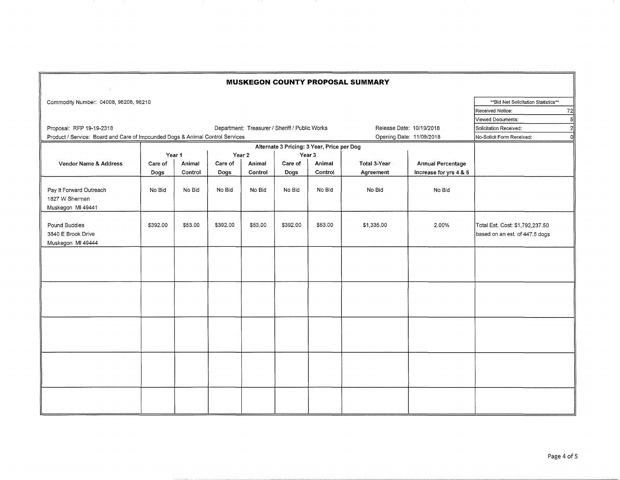|                                                                               |          |         |          |         |                                                |                                                      | <b>MUSKEGON COUNTY PROPOSAL SUMMARY</b> |                          |                                                                   |
|-------------------------------------------------------------------------------|----------|---------|----------|---------|------------------------------------------------|------------------------------------------------------|-----------------------------------------|--------------------------|-------------------------------------------------------------------|
| Commodity Number: 04008, 96206, 96210                                         |          |         |          |         |                                                |                                                      |                                         |                          | ** Bid Net Solicitation Statistics**                              |
|                                                                               |          |         |          |         |                                                |                                                      |                                         |                          | 72<br>Received Notice:                                            |
|                                                                               |          |         |          |         |                                                |                                                      |                                         |                          | 5 <sup>1</sup><br>Viewed Documents:                               |
| Proposal: RFP 19-19-2318                                                      |          |         |          |         | Department: Treasurer / Sheriff / Public Works |                                                      |                                         | Release Date: 10/19/2018 | Solicitation Received:<br>2 <sup>1</sup>                          |
| Product / Service: Board and Care of Impounded Dogs & Animal Control Services |          |         |          |         |                                                |                                                      |                                         | Opening Date: 11/09/2018 | οl<br>No-Solicit Form Received:                                   |
|                                                                               |          |         |          |         |                                                |                                                      |                                         |                          |                                                                   |
|                                                                               |          | Year 1  |          | Year 2  |                                                | Alternate 3 Pricing: 3 Year, Price per Dog<br>Year 3 |                                         |                          |                                                                   |
| Vendor Name & Address                                                         | Care of  | Animal  | Care of  | Animal  | Care of<br>Animal                              |                                                      | Total 3-Year                            | <b>Annual Percentage</b> |                                                                   |
|                                                                               | Dogs     | Control | Dogs     | Control | Dogs                                           | Control                                              | Agreement                               | Increase for yrs 4 & 5   |                                                                   |
| Pay It Forward Outreach<br>1827 W Sherman<br>Muskegon MI 49441                | No Bid   | No Bid  | No Bid   | No Bid  | No Bid                                         | No Bid                                               | No Bid                                  | No Bid                   |                                                                   |
| Pound Buddies<br>3840 E Brook Drive<br>Muskegon MI 49444                      | \$392.00 | \$53.00 | \$392.00 | \$53.00 | \$392.00                                       | \$53.00                                              | \$1,335.00                              | 2.00%                    | Total Est. Cost: \$1,792,237.50<br>based on an est. of 447.5 dogs |
|                                                                               |          |         |          |         |                                                |                                                      |                                         |                          |                                                                   |
|                                                                               |          |         |          |         |                                                |                                                      |                                         |                          |                                                                   |
|                                                                               |          |         |          |         |                                                |                                                      |                                         |                          |                                                                   |
|                                                                               |          |         |          |         |                                                |                                                      |                                         |                          |                                                                   |
|                                                                               |          |         |          |         |                                                |                                                      |                                         |                          |                                                                   |